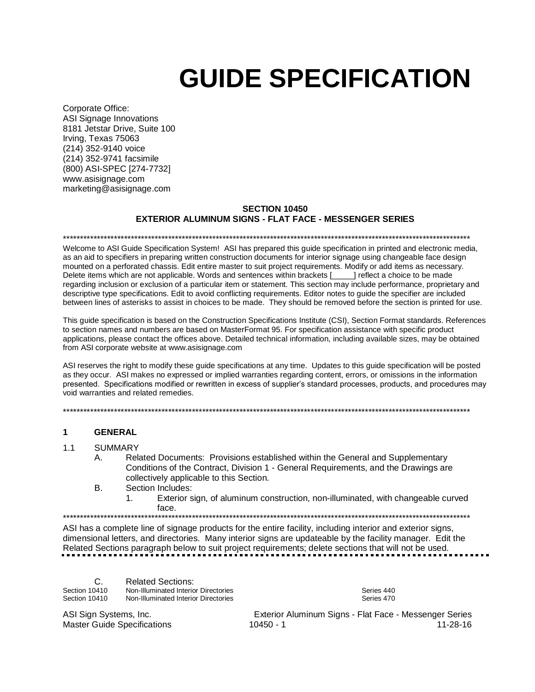# **GUIDE SPECIFICATION**

Corporate Office: ASI Signage Innovations 8181 Jetstar Drive, Suite 100 Irving, Texas 75063 (214) 352-9140 voice (214) 352-9741 facsimile (800) ASI-SPEC [274-7732] www.asisignage.com marketing@asisignage.com

#### **SECTION 10450 EXTERIOR ALUMINUM SIGNS - FLAT FACE - MESSENGER SERIES**

\*\*\*\*\*\*\*\*\*\*\*\*\*\*\*\*\*\*\*\*\*\*\*\*\*\*\*\*\*\*\*\*\*\*\*\*\*\*\*\*\*\*\*\*\*\*\*\*\*\*\*\*\*\*\*\*\*\*\*\*\*\*\*\*\*\*\*\*\*\*\*\*\*\*\*\*\*\*\*\*\*\*\*\*\*\*\*\*\*\*\*\*\*\*\*\*\*\*\*\*\*\*\*\*\*\*\*\*\*\*\*\*\*\*\*\*\*\*\*\*

Welcome to ASI Guide Specification System! ASI has prepared this guide specification in printed and electronic media, as an aid to specifiers in preparing written construction documents for interior signage using changeable face design mounted on a perforated chassis. Edit entire master to suit project requirements. Modify or add items as necessary. Delete items which are not applicable. Words and sentences within brackets [\_\_\_\_\_] reflect a choice to be made regarding inclusion or exclusion of a particular item or statement. This section may include performance, proprietary and descriptive type specifications. Edit to avoid conflicting requirements. Editor notes to guide the specifier are included between lines of asterisks to assist in choices to be made. They should be removed before the section is printed for use.

This guide specification is based on the Construction Specifications Institute (CSI), Section Format standards. References to section names and numbers are based on MasterFormat 95. For specification assistance with specific product applications, please contact the offices above. Detailed technical information, including available sizes, may be obtained from ASI corporate website at www.asisignage.com

ASI reserves the right to modify these guide specifications at any time. Updates to this guide specification will be posted as they occur. ASI makes no expressed or implied warranties regarding content, errors, or omissions in the information presented. Specifications modified or rewritten in excess of supplier's standard processes, products, and procedures may void warranties and related remedies.

\*\*\*\*\*\*\*\*\*\*\*\*\*\*\*\*\*\*\*\*\*\*\*\*\*\*\*\*\*\*\*\*\*\*\*\*\*\*\*\*\*\*\*\*\*\*\*\*\*\*\*\*\*\*\*\*\*\*\*\*\*\*\*\*\*\*\*\*\*\*\*\*\*\*\*\*\*\*\*\*\*\*\*\*\*\*\*\*\*\*\*\*\*\*\*\*\*\*\*\*\*\*\*\*\*\*\*\*\*\*\*\*\*\*\*\*\*\*\*\*

#### **1 GENERAL**

1.1 SUMMARY

- A. Related Documents: Provisions established within the General and Supplementary Conditions of the Contract, Division 1 - General Requirements, and the Drawings are collectively applicable to this Section. B. Section Includes:
- - 1. Exterior sign, of aluminum construction, non-illuminated, with changeable curved face.

\*\*\*\*\*\*\*\*\*\*\*\*\*\*\*\*\*\*\*\*\*\*\*\*\*\*\*\*\*\*\*\*\*\*\*\*\*\*\*\*\*\*\*\*\*\*\*\*\*\*\*\*\*\*\*\*\*\*\*\*\*\*\*\*\*\*\*\*\*\*\*\*\*\*\*\*\*\*\*\*\*\*\*\*\*\*\*\*\*\*\*\*\*\*\*\*\*\*\*\*\*\*\*\*\*\*\*\*\*\*\*\*\*\*\*\*\*\*\*\*

ASI has a complete line of signage products for the entire facility, including interior and exterior signs, dimensional letters, and directories. Many interior signs are updateable by the facility manager. Edit the Related Sections paragraph below to suit project requirements; delete sections that will not be used.

| Section 10410<br>Section 10410 | <b>Related Sections:</b><br>Non-Illuminated Interior Directories<br>Non-Illuminated Interior Directories | Series 440<br>Series 470            |
|--------------------------------|----------------------------------------------------------------------------------------------------------|-------------------------------------|
| ASI Sign Systems, Inc.         |                                                                                                          | Exterior Aluminum Signs - Elat Eace |

Iuminum Signs - Flat Face - Messenger Series Master Guide Specifications 10450 - 1 11-28-16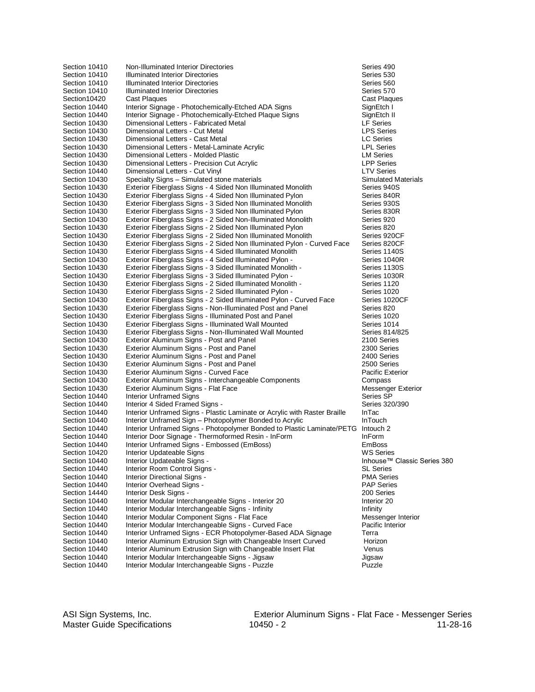| Section 10410 | Non-Illuminated Interior Directories                                             | Series 490                     |
|---------------|----------------------------------------------------------------------------------|--------------------------------|
| Section 10410 | Illuminated Interior Directories                                                 | Series 530                     |
| Section 10410 | Illuminated Interior Directories                                                 | Series 560                     |
| Section 10410 | <b>Illuminated Interior Directories</b>                                          | Series 570                     |
| Section10420  | Cast Plaques                                                                     | Cast Plaques                   |
| Section 10440 | Interior Signage - Photochemically-Etched ADA Signs                              | SignEtch I                     |
| Section 10440 | Interior Signage - Photochemically-Etched Plaque Signs                           | SignEtch II                    |
| Section 10430 | Dimensional Letters - Fabricated Metal                                           | <b>LF Series</b>               |
| Section 10430 | Dimensional Letters - Cut Metal                                                  | <b>LPS Series</b>              |
| Section 10430 | Dimensional Letters - Cast Metal                                                 | <b>LC Series</b>               |
| Section 10430 | Dimensional Letters - Metal-Laminate Acrylic                                     | <b>LPL Series</b>              |
| Section 10430 | Dimensional Letters - Molded Plastic                                             | <b>LM Series</b>               |
| Section 10430 | Dimensional Letters - Precision Cut Acrylic                                      | <b>LPP Series</b>              |
| Section 10440 | Dimensional Letters - Cut Vinyl                                                  | <b>LTV Series</b>              |
| Section 10430 | Specialty Signs - Simulated stone materials                                      | <b>Simulated Materials</b>     |
| Section 10430 | Exterior Fiberglass Signs - 4 Sided Non Illuminated Monolith                     | Series 940S                    |
| Section 10430 | Exterior Fiberglass Signs - 4 Sided Non Illuminated Pylon                        | Series 840R                    |
| Section 10430 | Exterior Fiberglass Signs - 3 Sided Non Illuminated Monolith                     | Series 930S                    |
| Section 10430 | Exterior Fiberglass Signs - 3 Sided Non Illuminated Pylon                        | Series 830R                    |
| Section 10430 | Exterior Fiberglass Signs - 2 Sided Non-Illuminated Monolith                     | Series 920                     |
| Section 10430 | Exterior Fiberglass Signs - 2 Sided Non Illuminated Pylon                        | Series 820                     |
| Section 10430 | Exterior Fiberglass Signs - 2 Sided Non Illuminated Monolith                     | Series 920CF                   |
| Section 10430 | Exterior Fiberglass Signs - 2 Sided Non Illuminated Pylon - Curved Face          | Series 820CF                   |
| Section 10430 | Exterior Fiberglass Signs - 4 Sided Illuminated Monolith                         | Series 1140S                   |
| Section 10430 | Exterior Fiberglass Signs - 4 Sided Illuminated Pylon -                          | Series 1040R                   |
| Section 10430 | Exterior Fiberglass Signs - 3 Sided Illuminated Monolith -                       | Series 1130S                   |
| Section 10430 | Exterior Fiberglass Signs - 3 Sided Illuminated Pylon -                          | Series 1030R                   |
| Section 10430 | Exterior Fiberglass Signs - 2 Sided Illuminated Monolith -                       | Series 1120                    |
| Section 10430 | Exterior Fiberglass Signs - 2 Sided Illuminated Pylon -                          | Series 1020                    |
| Section 10430 | Exterior Fiberglass Signs - 2 Sided Illuminated Pylon - Curved Face              | Series 1020CF                  |
| Section 10430 | Exterior Fiberglass Signs - Non-Illuminated Post and Panel                       | Series 820                     |
| Section 10430 | Exterior Fiberglass Signs - Illuminated Post and Panel                           | Series 1020                    |
| Section 10430 | Exterior Fiberglass Signs - Illuminated Wall Mounted                             | Series 1014                    |
| Section 10430 | Exterior Fiberglass Signs - Non-Illuminated Wall Mounted                         | Series 814/825                 |
| Section 10430 | Exterior Aluminum Signs - Post and Panel                                         | 2100 Series                    |
| Section 10430 | Exterior Aluminum Signs - Post and Panel                                         | 2300 Series                    |
| Section 10430 | Exterior Aluminum Signs - Post and Panel                                         | 2400 Series                    |
| Section 10430 | Exterior Aluminum Signs - Post and Panel                                         | 2500 Series                    |
| Section 10430 | Exterior Aluminum Signs - Curved Face                                            | <b>Pacific Exterior</b>        |
| Section 10430 | Exterior Aluminum Signs - Interchangeable Components                             | Compass                        |
| Section 10430 | Exterior Aluminum Signs - Flat Face                                              | Messenger Exterior             |
| Section 10440 |                                                                                  | Series SP                      |
|               | <b>Interior Unframed Signs</b><br>Interior 4 Sided Framed Signs -                |                                |
| Section 10440 | Interior Unframed Signs - Plastic Laminate or Acrylic with Raster Braille        | Series 320/390<br><b>InTac</b> |
| Section 10440 |                                                                                  |                                |
| Section 10440 | Interior Unframed Sign - Photopolymer Bonded to Acrylic                          | <b>InTouch</b>                 |
| Section 10440 | Interior Unframed Signs - Photopolymer Bonded to Plastic Laminate/PETG Intouch 2 |                                |
| Section 10440 | Interior Door Signage - Thermoformed Resin - InForm                              | InForm<br><b>EmBoss</b>        |
| Section 10440 | Interior Unframed Signs - Embossed (EmBoss)                                      |                                |
| Section 10420 | Interior Updateable Signs                                                        | <b>WS Series</b>               |
| Section 10440 | Interior Updateable Signs -                                                      | Inhouse <sup>™</sup> Classic S |
| Section 10440 | Interior Room Control Signs -                                                    | <b>SL Series</b>               |
| Section 10440 | Interior Directional Signs -                                                     | <b>PMA Series</b>              |
| Section 10440 | Interior Overhead Signs -                                                        | <b>PAP Series</b>              |
| Section 14440 | Interior Desk Signs -                                                            | 200 Series                     |
| Section 10440 | Interior Modular Interchangeable Signs - Interior 20                             | Interior 20                    |
| Section 10440 | Interior Modular Interchangeable Signs - Infinity                                | Infinity                       |
| Section 10440 | Interior Modular Component Signs - Flat Face                                     | Messenger Interior             |
| Section 10440 | Interior Modular Interchangeable Signs - Curved Face                             | Pacific Interior               |
| Section 10440 | Interior Unframed Signs - ECR Photopolymer-Based ADA Signage                     | Terra                          |
| Section 10440 | Interior Aluminum Extrusion Sign with Changeable Insert Curved                   | Horizon                        |
| Section 10440 | Interior Aluminum Extrusion Sign with Changeable Insert Flat                     | Venus                          |
| Section 10440 | Interior Modular Interchangeable Signs - Jigsaw                                  | Jigsaw                         |
| Section 10440 | Interior Modular Interchangeable Signs - Puzzle                                  | Puzzle                         |

ger Exterior<br>}P ies<br><sup>,™</sup> Classic Series 380<br><sup>es</sup>

ASI Sign Systems, Inc. **Exterior Aluminum Signs - Flat Face - Messenger Series**<br>11-28-16 11-28-16 Master Guide Specifications 10450 - 2 11-28-16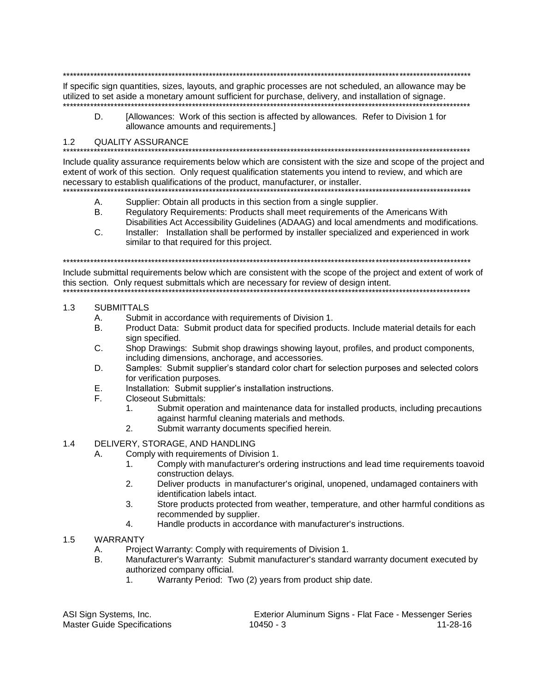If specific sign quantities, sizes, layouts, and graphic processes are not scheduled, an allowance may be utilized to set aside a monetary amount sufficient for purchase, delivery, and installation of signage.

D. [Allowances: Work of this section is affected by allowances. Refer to Division 1 for allowance amounts and requirements.]

#### $1.2$ **QUALITY ASSURANCE**

Include quality assurance requirements below which are consistent with the size and scope of the project and extent of work of this section. Only request qualification statements you intend to review, and which are necessary to establish qualifications of the product, manufacturer, or installer.

- Supplier: Obtain all products in this section from a single supplier. А.
- $B<sub>1</sub>$ Regulatory Requirements: Products shall meet requirements of the Americans With Disabilities Act Accessibility Guidelines (ADAAG) and local amendments and modifications.
- C. Installer: Installation shall be performed by installer specialized and experienced in work similar to that required for this project.

Include submittal requirements below which are consistent with the scope of the project and extent of work of this section. Only request submittals which are necessary for review of design intent.

- $1.3$ **SUBMITTALS** 
	- А. Submit in accordance with requirements of Division 1.
	- **B.** Product Data: Submit product data for specified products. Include material details for each sian specified.
	- $C_{\cdot}$ Shop Drawings: Submit shop drawings showing layout, profiles, and product components, including dimensions, anchorage, and accessories.
	- D. Samples: Submit supplier's standard color chart for selection purposes and selected colors for verification purposes.
	- Е. Installation: Submit supplier's installation instructions.
	- **Closeout Submittals:** F.
		- Submit operation and maintenance data for installed products, including precautions  $1.$ against harmful cleaning materials and methods.
		- $2.$ Submit warranty documents specified herein.
- $1.4$ DELIVERY, STORAGE, AND HANDLING
	- Comply with requirements of Division 1. А.
		- Comply with manufacturer's ordering instructions and lead time requirements toavoid  $1<sub>1</sub>$ construction delays.
		- $2.$ Deliver products in manufacturer's original, unopened, undamaged containers with identification labels intact.
		- $3<sub>1</sub>$ Store products protected from weather, temperature, and other harmful conditions as recommended by supplier.
		- $4.$ Handle products in accordance with manufacturer's instructions.
- $1.5$ **WARRANTY** 
	- Project Warranty: Comply with requirements of Division 1. A.
	- Manufacturer's Warranty: Submit manufacturer's standard warranty document executed by **B.** authorized company official.
		- $1$ Warranty Period: Two (2) years from product ship date.

| ASI Sign Systems, Inc.             |           | Exterior Aluminum Signs - Flat Face - Messenger Series |
|------------------------------------|-----------|--------------------------------------------------------|
| <b>Master Guide Specifications</b> | 10450 - 3 | 11-28-16                                               |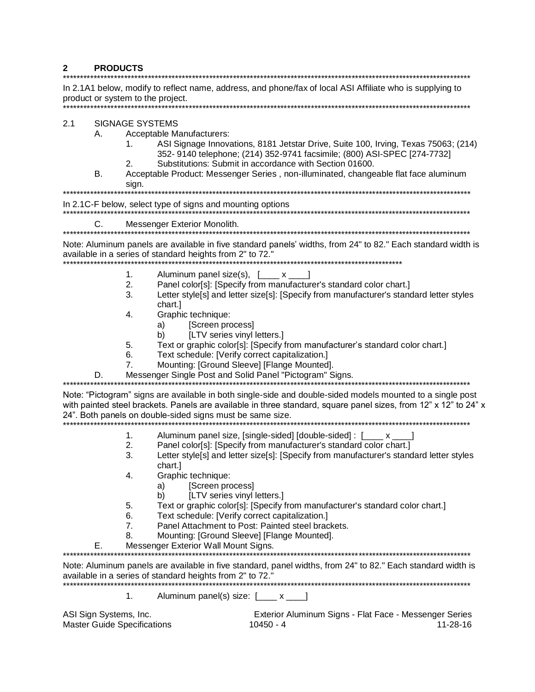#### $2<sup>1</sup>$ **PRODUCTS**

In 2.1A1 below, modify to reflect name, address, and phone/fax of local ASI Affiliate who is supplying to product or system to the project. **SIGNAGE SYSTEMS**  $2.1$ А. Acceptable Manufacturers: ASI Signage Innovations, 8181 Jetstar Drive, Suite 100, Irving, Texas 75063; (214)  $1<sub>1</sub>$ 352-9140 telephone; (214) 352-9741 facsimile; (800) ASI-SPEC [274-7732] Substitutions: Submit in accordance with Section 01600.  $\mathcal{P}$ **B.** Acceptable Product: Messenger Series, non-illuminated, changeable flat face aluminum sign. In 2.1C-F below, select type of signs and mounting options C. Messenger Exterior Monolith. Note: Aluminum panels are available in five standard panels' widths, from 24" to 82." Each standard width is available in a series of standard heights from 2" to 72." Aluminum panel size(s), [ x  $1<sub>1</sub>$ -1  $2.$ Panel color[s]: [Specify from manufacturer's standard color chart.] 3. Letter style[s] and letter size[s]: [Specify from manufacturer's standard letter styles chart.1  $4.$ Graphic technique: [Screen process] a) b) [LTV series vinyl letters.] 5. Text or graphic color[s]: [Specify from manufacturer's standard color chart.] Text schedule: [Verify correct capitalization.] 6.  $\overline{7}$ . Mounting: [Ground Sleeve] [Flange Mounted]. Messenger Single Post and Solid Panel "Pictogram" Signs. D. Note: "Pictogram" signs are available in both single-side and double-sided models mounted to a single post with painted steel brackets. Panels are available in three standard, square panel sizes, from 12" x 12" to 24" x 24". Both panels on double-sided signs must be same size. Aluminum panel size, [single-sided] [double-sided] : [\_\_\_\_ x \_\_  $1.$  $2.$ Panel color[s]: [Specify from manufacturer's standard color chart.] 3. Letter style[s] and letter size[s]: [Specify from manufacturer's standard letter styles chart.]  $\overline{4}$ . Graphic technique: [Screen process] a) [LTV series vinyl letters.] b) Text or graphic color[s]: [Specify from manufacturer's standard color chart.] 5. Text schedule: [Verify correct capitalization.] 6. Panel Attachment to Post: Painted steel brackets.  $7<sub>1</sub>$ Mounting: [Ground Sleeve] [Flange Mounted]. 8 Messenger Exterior Wall Mount Signs. Е. Note: Aluminum panels are available in five standard, panel widths, from 24" to 82." Each standard width is available in a series of standard heights from 2" to 72."  $\mathbf{1}$ Aluminum panel(s) size: [\_\_\_\_ x \_\_\_] ASI Sign Systems, Inc. Exterior Aluminum Signs - Flat Face - Messenger Series **Master Guide Specifications**  $10450 - 4$  $11 - 28 - 16$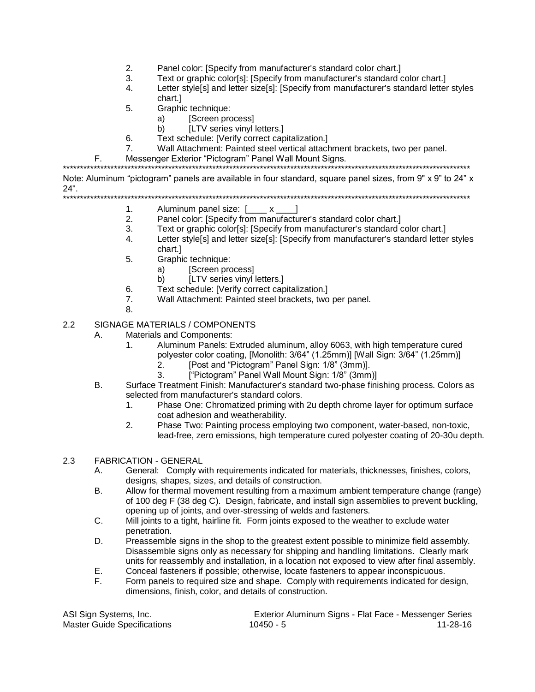- 2. Panel color: [Specify from manufacturer's standard color chart.]
- 3. Text or graphic color[s]: [Specify from manufacturer's standard color chart.]
- 4. Letter style[s] and letter size[s]: [Specify from manufacturer's standard letter styles chart.]
- 5. Graphic technique:
	- a) [Screen process]
	- b) [LTV series vinyl letters.]
- 6. Text schedule: [Verify correct capitalization.]
- 7. Wall Attachment: Painted steel vertical attachment brackets, two per panel.
- F. Messenger Exterior "Pictogram" Panel Wall Mount Signs.

\*\*\*\*\*\*\*\*\*\*\*\*\*\*\*\*\*\*\*\*\*\*\*\*\*\*\*\*\*\*\*\*\*\*\*\*\*\*\*\*\*\*\*\*\*\*\*\*\*\*\*\*\*\*\*\*\*\*\*\*\*\*\*\*\*\*\*\*\*\*\*\*\*\*\*\*\*\*\*\*\*\*\*\*\*\*\*\*\*\*\*\*\*\*\*\*\*\*\*\*\*\*\*\*\*\*\*\*\*\*\*\*\*\*\*\*\*\*\*\*

Note: Aluminum "pictogram" panels are available in four standard, square panel sizes, from 9" x 9" to 24" x 24".<br>\*\*\*\*\*\*\*\*

\*\*\*\*\*\*\*\*\*\*\*\*\*\*\*\*\*\*\*\*\*\*\*\*\*\*\*\*\*\*\*\*\*\*\*\*\*\*\*\*\*\*\*\*\*\*\*\*\*\*\*\*\*\*\*\*\*\*\*\*\*\*\*\*\*\*\*\*\*\*\*\*\*\*\*\*\*\*\*\*\*\*\*\*\*\*\*\*\*\*\*\*\*\*\*\*\*\*\*\*\*\*\*\*\*\*\*\*\*\*\*\*\*\*\*\*\*\*\*\*

- 1. Aluminum panel size: [\_\_\_\_ x \_\_\_]
- 2. Panel color: [Specify from manufacturer's standard color chart.]
- 3. Text or graphic color[s]: [Specify from manufacturer's standard color chart.]
- 4. Letter style[s] and letter size[s]: [Specify from manufacturer's standard letter styles chart.]
- 5. Graphic technique:
	- a) [Screen process]
	- b) [LTV series vinyl letters.]
- 6. Text schedule: [Verify correct capitalization.]
- 7. Wall Attachment: Painted steel brackets, two per panel.
- 8.

#### 2.2 SIGNAGE MATERIALS / COMPONENTS

- A. Materials and Components:
	- 1. Aluminum Panels: Extruded aluminum, alloy 6063, with high temperature cured polyester color coating, [Monolith: 3/64" (1.25mm)] [Wall Sign: 3/64" (1.25mm)]
		- 2. [Post and "Pictogram" Panel Sign: 1/8" (3mm)].
		- 3. ["Pictogram" Panel Wall Mount Sign: 1/8" (3mm)]
- B. Surface Treatment Finish: Manufacturer's standard two-phase finishing process. Colors as selected from manufacturer's standard colors.
	- 1. Phase One: Chromatized priming with 2u depth chrome layer for optimum surface coat adhesion and weatherability.
	- 2. Phase Two: Painting process employing two component, water-based, non-toxic, lead-free, zero emissions, high temperature cured polyester coating of 20-30u depth.

#### 2.3 FABRICATION - GENERAL

- A. General: Comply with requirements indicated for materials, thicknesses, finishes, colors, designs, shapes, sizes, and details of construction.
- B. Allow for thermal movement resulting from a maximum ambient temperature change (range) of 100 deg F (38 deg C). Design, fabricate, and install sign assemblies to prevent buckling, opening up of joints, and over-stressing of welds and fasteners.
- C. Mill joints to a tight, hairline fit. Form joints exposed to the weather to exclude water penetration.
- D. Preassemble signs in the shop to the greatest extent possible to minimize field assembly. Disassemble signs only as necessary for shipping and handling limitations. Clearly mark units for reassembly and installation, in a location not exposed to view after final assembly.
- E. Conceal fasteners if possible; otherwise, locate fasteners to appear inconspicuous.
- F. Form panels to required size and shape. Comply with requirements indicated for design, dimensions, finish, color, and details of construction.

| ASI Sign Systems, Inc.             | Exterior Aluminum Signs - Flat Face - Messenger Series |          |
|------------------------------------|--------------------------------------------------------|----------|
| <b>Master Guide Specifications</b> | 10450 - 5                                              | 11-28-16 |